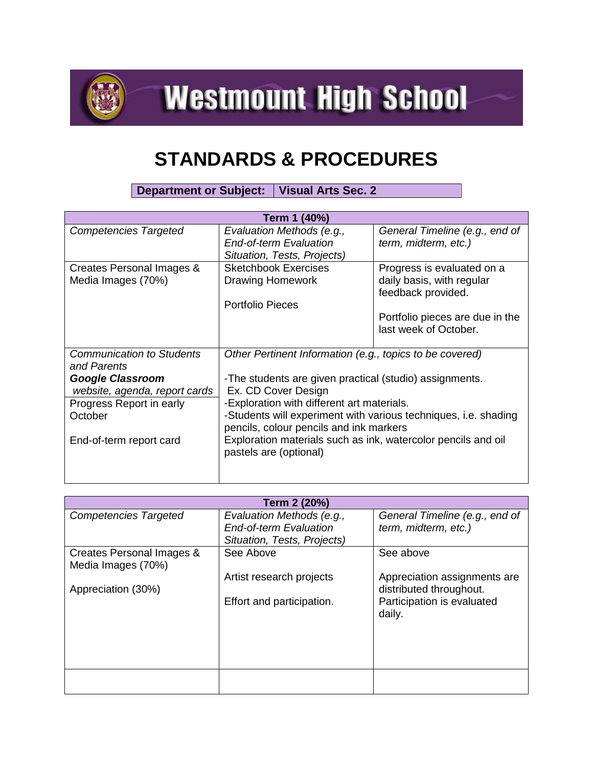

**Westmount High School** 

## **STANDARDS & PROCEDURES**

**Department or Subject: Visual Arts Sec. 2**

| Term 1 (40%)                     |                                                                 |                                 |  |
|----------------------------------|-----------------------------------------------------------------|---------------------------------|--|
| <b>Competencies Targeted</b>     | Evaluation Methods (e.g.,                                       | General Timeline (e.g., end of  |  |
|                                  | <b>End-of-term Evaluation</b>                                   | term, midterm, etc.)            |  |
|                                  | Situation, Tests, Projects)                                     |                                 |  |
| Creates Personal Images &        | <b>Sketchbook Exercises</b>                                     | Progress is evaluated on a      |  |
| Media Images (70%)               | Drawing Homework                                                | daily basis, with regular       |  |
|                                  |                                                                 | feedback provided.              |  |
|                                  | Portfolio Pieces                                                |                                 |  |
|                                  |                                                                 | Portfolio pieces are due in the |  |
|                                  |                                                                 | last week of October.           |  |
|                                  |                                                                 |                                 |  |
| <b>Communication to Students</b> | Other Pertinent Information (e.g., topics to be covered)        |                                 |  |
| and Parents                      |                                                                 |                                 |  |
| <b>Google Classroom</b>          | -The students are given practical (studio) assignments.         |                                 |  |
| website, agenda, report cards    | Ex. CD Cover Design                                             |                                 |  |
| Progress Report in early         | -Exploration with different art materials.                      |                                 |  |
| October                          | -Students will experiment with various techniques, i.e. shading |                                 |  |
|                                  | pencils, colour pencils and ink markers                         |                                 |  |
| End-of-term report card          | Exploration materials such as ink, watercolor pencils and oil   |                                 |  |
|                                  | pastels are (optional)                                          |                                 |  |
|                                  |                                                                 |                                 |  |
|                                  |                                                                 |                                 |  |

| Term 2 (20%)                                    |                                                            |                                                         |
|-------------------------------------------------|------------------------------------------------------------|---------------------------------------------------------|
| <b>Competencies Targeted</b>                    | Evaluation Methods (e.g.,<br><b>End-of-term Evaluation</b> | General Timeline (e.g., end of<br>term, midterm, etc.)  |
|                                                 | Situation, Tests, Projects)                                |                                                         |
| Creates Personal Images &<br>Media Images (70%) | See Above                                                  | See above                                               |
|                                                 | Artist research projects                                   | Appreciation assignments are<br>distributed throughout. |
| Appreciation (30%)                              | Effort and participation.                                  | Participation is evaluated<br>daily.                    |
|                                                 |                                                            |                                                         |
|                                                 |                                                            |                                                         |